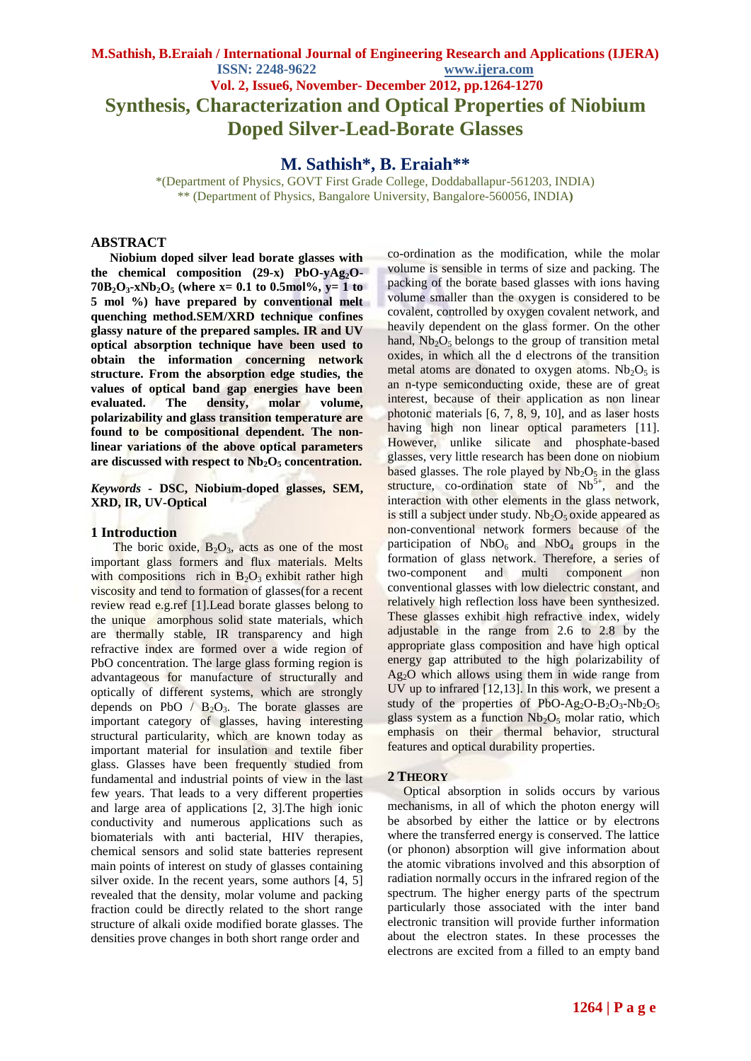# **M.Sathish, B.Eraiah / International Journal of Engineering Research and Applications (IJERA) ISSN: 2248-9622 www.ijera.com Vol. 2, Issue6, November- December 2012, pp.1264-1270 Synthesis, Characterization and Optical Properties of Niobium Doped Silver-Lead-Borate Glasses**

# **M. Sathish\*, B. Eraiah\*\***

\*(Department of Physics, GOVT First Grade College, Doddaballapur-561203, INDIA) \*\* (Department of Physics, Bangalore University, Bangalore-560056, INDIA**)**

## **ABSTRACT**

 **Niobium doped silver lead borate glasses with the chemical composition (29-x) PbO-yAg2O-70B**<sub>2</sub> $O_3$ **-xNb**<sub>2</sub> $O_5$  (where x= 0.1 to 0.5mol%, y= 1 to **5 mol %) have prepared by conventional melt quenching method.SEM/XRD technique confines glassy nature of the prepared samples. IR and UV optical absorption technique have been used to obtain the information concerning network structure. From the absorption edge studies, the values of optical band gap energies have been evaluated. The density, molar volume, polarizability and glass transition temperature are found to be compositional dependent. The nonlinear variations of the above optical parameters are discussed with respect to Nb2O<sup>5</sup> concentration.**

## *Keywords -* **DSC, Niobium-doped glasses, SEM, XRD, IR, UV-Optical**

### **1 Introduction**

The boric oxide,  $B_2O_3$ , acts as one of the most important glass formers and flux materials. Melts with compositions rich in  $B_2O_3$  exhibit rather high viscosity and tend to formation of glasses(for a recent review read e.g.ref [1].Lead borate glasses belong to the unique amorphous solid state materials, which are thermally stable, IR transparency and high refractive index are formed over a wide region of PbO concentration. The large glass forming region is advantageous for manufacture of structurally and optically of different systems, which are strongly depends on PbO /  $B_2O_3$ . The borate glasses are important category of glasses, having interesting structural particularity, which are known today as important material for insulation and textile fiber glass. Glasses have been frequently studied from fundamental and industrial points of view in the last few years. That leads to a very different properties and large area of applications [2, 3].The high ionic conductivity and numerous applications such as biomaterials with anti bacterial, HIV therapies, chemical sensors and solid state batteries represent main points of interest on study of glasses containing silver oxide. In the recent years, some authors [4, 5] revealed that the density, molar volume and packing fraction could be directly related to the short range structure of alkali oxide modified borate glasses. The densities prove changes in both short range order and

co-ordination as the modification, while the molar volume is sensible in terms of size and packing. The packing of the borate based glasses with ions having volume smaller than the oxygen is considered to be covalent, controlled by oxygen covalent network, and heavily dependent on the glass former. On the other hand,  $Nb<sub>2</sub>O<sub>5</sub>$  belongs to the group of transition metal oxides, in which all the d electrons of the transition metal atoms are donated to oxygen atoms.  $Nb<sub>2</sub>O<sub>5</sub>$  is an n-type semiconducting oxide, these are of great interest, because of their application as non linear photonic materials [6, 7, 8, 9, 10], and as laser hosts having high non linear optical parameters [11]. However, unlike silicate and phosphate-based glasses, very little research has been done on niobium based glasses. The role played by  $Nb<sub>2</sub>O<sub>5</sub>$  in the glass structure, co-ordination state of  $Nb<sup>5+</sup>$ , and the interaction with other elements in the glass network, is still a subject under study.  $Nb<sub>2</sub>O<sub>5</sub>$  oxide appeared as non-conventional network formers because of the participation of  $NbO<sub>6</sub>$  and  $NbO<sub>4</sub>$  groups in the formation of glass network. Therefore, a series of two-component and multi component non conventional glasses with low dielectric constant, and relatively high reflection loss have been synthesized. These glasses exhibit high refractive index, widely adjustable in the range from 2.6 to 2.8 by the appropriate glass composition and have high optical energy gap attributed to the high polarizability of  $Ag<sub>2</sub>O$  which allows using them in wide range from UV up to infrared [12,13]. In this work, we present a study of the properties of PbO-Ag<sub>2</sub>O-B<sub>2</sub>O<sub>3</sub>-Nb<sub>2</sub>O<sub>5</sub> glass system as a function  $Nb<sub>2</sub>O<sub>5</sub>$  molar ratio, which emphasis on their thermal behavior, structural features and optical durability properties.

## **2 THEORY**

 Optical absorption in solids occurs by various mechanisms, in all of which the photon energy will be absorbed by either the lattice or by electrons where the transferred energy is conserved. The lattice (or phonon) absorption will give information about the atomic vibrations involved and this absorption of radiation normally occurs in the infrared region of the spectrum. The higher energy parts of the spectrum particularly those associated with the inter band electronic transition will provide further information about the electron states. In these processes the electrons are excited from a filled to an empty band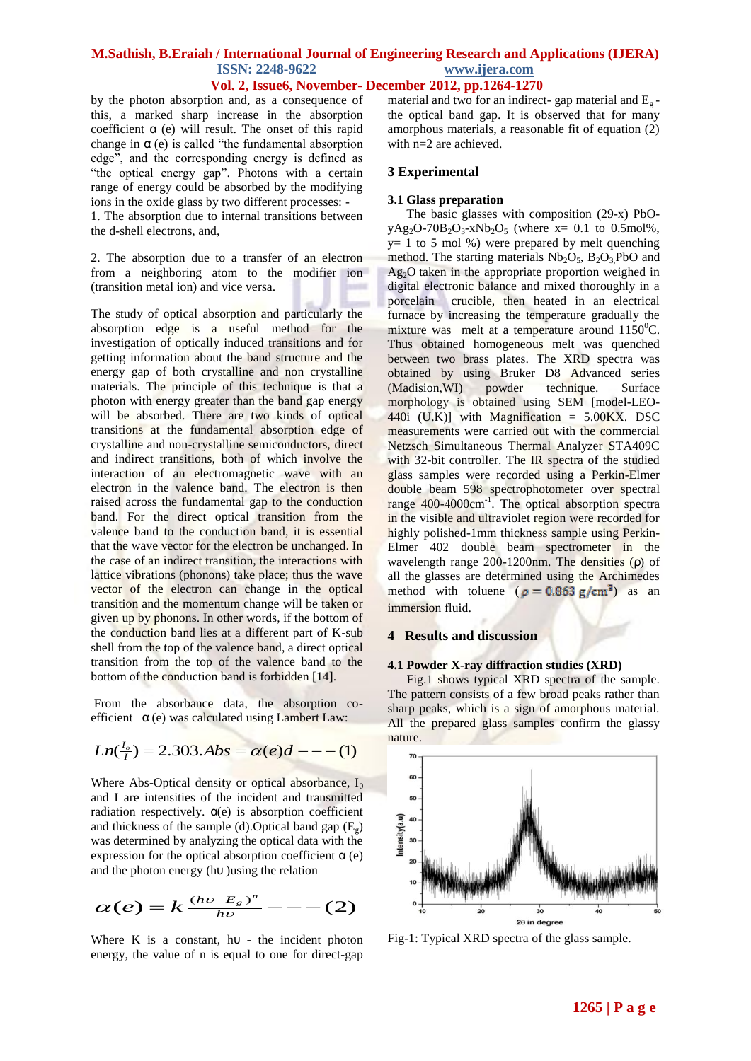**Vol. 2, Issue6, November- December 2012, pp.1264-1270**

by the photon absorption and, as a consequence of this, a marked sharp increase in the absorption coefficient  $\alpha$  (e) will result. The onset of this rapid change in  $\alpha$  (e) is called "the fundamental absorption edge", and the corresponding energy is defined as "the optical energy gap". Photons with a certain range of energy could be absorbed by the modifying ions in the oxide glass by two different processes: -

1. The absorption due to internal transitions between the d-shell electrons, and,

2. The absorption due to a transfer of an electron from a neighboring atom to the modifier ion (transition metal ion) and vice versa.

The study of optical absorption and particularly the absorption edge is a useful method for the investigation of optically induced transitions and for getting information about the band structure and the energy gap of both crystalline and non crystalline materials. The principle of this technique is that a photon with energy greater than the band gap energy will be absorbed. There are two kinds of optical transitions at the fundamental absorption edge of crystalline and non-crystalline semiconductors, direct and indirect transitions, both of which involve the interaction of an electromagnetic wave with an electron in the valence band. The electron is then raised across the fundamental gap to the conduction band. For the direct optical transition from the valence band to the conduction band, it is essential that the wave vector for the electron be unchanged. In the case of an indirect transition, the interactions with lattice vibrations (phonons) take place; thus the wave vector of the electron can change in the optical transition and the momentum change will be taken or given up by phonons. In other words, if the bottom of the conduction band lies at a different part of K-sub shell from the top of the valence band, a direct optical transition from the top of the valence band to the bottom of the conduction band is forbidden [14].

From the absorbance data, the absorption coefficient  $\alpha$  (e) was calculated using Lambert Law:

$$
Ln(\frac{l_o}{l}) = 2.303. Abs = \alpha(e)d --- (1)
$$

Where Abs-Optical density or optical absorbance,  $I_0$ and I are intensities of the incident and transmitted radiation respectively.  $\alpha$ (e) is absorption coefficient and thickness of the sample (d). Optical band gap  $(E_{\varphi})$ was determined by analyzing the optical data with the expression for the optical absorption coefficient  $\alpha$  (e) and the photon energy (hυ )using the relation

$$
\alpha(e)=k\frac{(h\nu-E_g)^n}{h\nu}---(2)
$$

Where K is a constant,  $h\upsilon$  - the incident photon energy, the value of n is equal to one for direct-gap

material and two for an indirect- gap material and  $E_{g}$ the optical band gap. It is observed that for many amorphous materials, a reasonable fit of equation (2) with n=2 are achieved.

### **3 Experimental**

### **3.1 Glass preparation**

 The basic glasses with composition (29-x) PbO $yAg_2O-70B_2O_3-xNb_2O_5$  (where  $x= 0.1$  to 0.5mol%,  $y= 1$  to 5 mol %) were prepared by melt quenching method. The starting materials  $Nb_2O_5$ ,  $B_2O_3PbO$  and  $Ag<sub>2</sub>O$  taken in the appropriate proportion weighed in digital electronic balance and mixed thoroughly in a porcelain crucible, then heated in an electrical furnace by increasing the temperature gradually the mixture was melt at a temperature around  $1150^0C$ . Thus obtained homogeneous melt was quenched between two brass plates. The XRD spectra was obtained by using Bruker D8 Advanced series (Madision,WI) powder technique. Surface morphology is obtained using SEM [model-LEO-440i (U.K)] with Magnification  $= 5.00KX$ . DSC measurements were carried out with the commercial Netzsch Simultaneous Thermal Analyzer STA409C with 32-bit controller. The IR spectra of the studied glass samples were recorded using a Perkin-Elmer double beam 598 spectrophotometer over spectral range 400-4000cm<sup>-1</sup>. The optical absorption spectra in the visible and ultraviolet region were recorded for highly polished-1mm thickness sample using Perkin-Elmer 402 double beam spectrometer in the wavelength range 200-1200nm. The densities (ρ) of all the glasses are determined using the Archimedes method with toluene ( $\rho = 0.863$  g/cm<sup>3</sup>) as an immersion fluid.

### **4 Results and discussion**

# **4.1 Powder X-ray diffraction studies (XRD)**

 Fig.1 shows typical XRD spectra of the sample. The pattern consists of a few broad peaks rather than sharp peaks, which is a sign of amorphous material. All the prepared glass samples confirm the glassy nature.



Fig-1: Typical XRD spectra of the glass sample.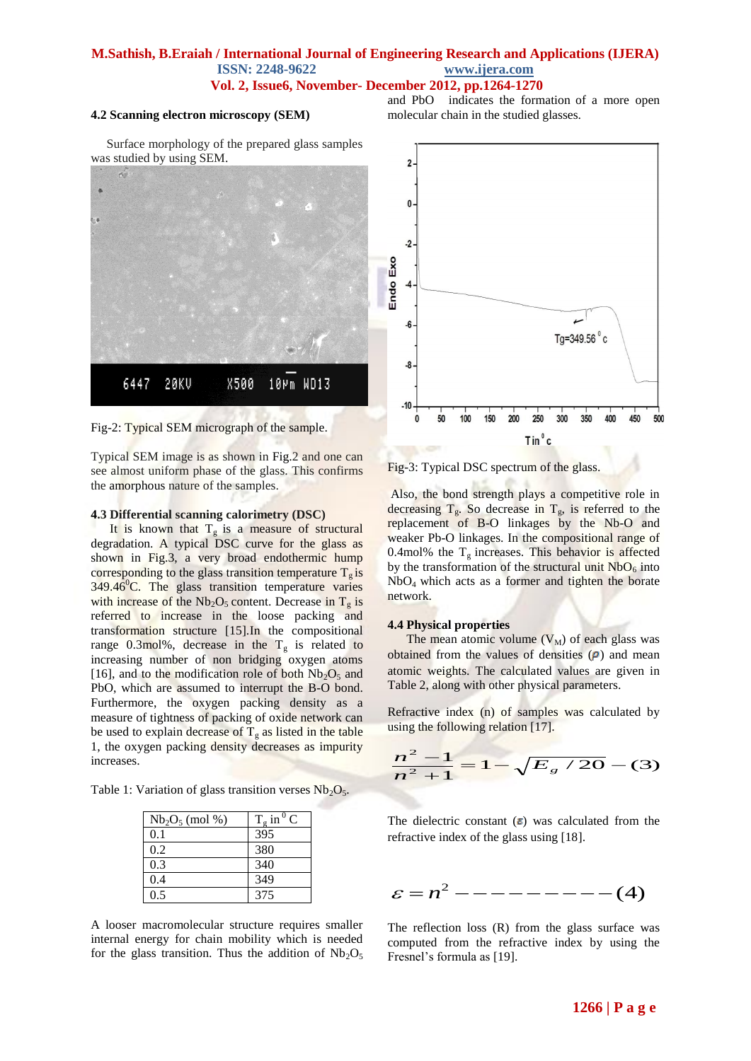## **M.Sathish, B.Eraiah / International Journal of Engineering Research and Applications (IJERA) ISSN: 2248-9622 www.ijera.com Vol. 2, Issue6, November- December 2012, pp.1264-1270**

### **4.2 Scanning electron microscopy (SEM)**

and PbO indicates the formation of a more open molecular chain in the studied glasses.

 Surface morphology of the prepared glass samples was studied by using SEM.



Fig-2: Typical SEM micrograph of the sample.

Typical SEM image is as shown in Fig.2 and one can see almost uniform phase of the glass. This confirms the amorphous nature of the samples.

#### **4.3 Differential scanning calorimetry (DSC)**

It is known that  $T_g$  is a measure of structural degradation. A typical DSC curve for the glass as shown in Fig.3, a very broad endothermic hump corresponding to the glass transition temperature  $T_g$  is  $349.46^{\circ}$ C. The glass transition temperature varies with increase of the  $Nb<sub>2</sub>O<sub>5</sub>$  content. Decrease in  $T<sub>g</sub>$  is referred to increase in the loose packing and transformation structure [15].In the compositional range 0.3mol%, decrease in the  $T<sub>g</sub>$  is related to increasing number of non bridging oxygen atoms [16], and to the modification role of both  $Nb<sub>2</sub>O<sub>5</sub>$  and PbO, which are assumed to interrupt the B-O bond. Furthermore, the oxygen packing density as a measure of tightness of packing of oxide network can be used to explain decrease of  $T_g$  as listed in the table 1, the oxygen packing density decreases as impurity increases.

Table 1: Variation of glass transition verses  $Nb<sub>2</sub>O<sub>5</sub>$ .

| $Nb_2O_5 \pmod{96}$ | $T_g$ in $\overline{C}$ |
|---------------------|-------------------------|
| 0.1                 | 395                     |
| 0.2                 | 380                     |
| 0.3                 | 340                     |
| 0.4                 | 349                     |
| 0.5                 | 375                     |

A looser macromolecular structure requires smaller internal energy for chain mobility which is needed for the glass transition. Thus the addition of  $Nb<sub>2</sub>O<sub>5</sub>$ 



Fig-3: Typical DSC spectrum of the glass.

Also, the bond strength plays a competitive role in decreasing  $T_g$ . So decrease in  $T_g$ , is referred to the replacement of B-O linkages by the Nb-O and weaker Pb-O linkages. In the compositional range of 0.4mol% the  $T_g$  increases. This behavior is affected by the transformation of the structural unit  $NbO<sub>6</sub>$  into NbO4 which acts as a former and tighten the borate network.

#### **4.4 Physical properties**

The mean atomic volume  $(V_M)$  of each glass was obtained from the values of densities  $(\rho)$  and mean atomic weights. The calculated values are given in Table 2, along with other physical parameters.

Refractive index (n) of samples was calculated by using the following relation [17].

$$
\frac{n^2 - 1}{n^2 + 1} = 1 - \sqrt{E_g / 20} - (3)
$$

The dielectric constant  $(\epsilon)$  was calculated from the refractive index of the glass using [18].

$$
\varepsilon = n^2 - - - - - - - - - - (4)
$$

The reflection loss (R) from the glass surface was computed from the refractive index by using the Fresnel's formula as [19].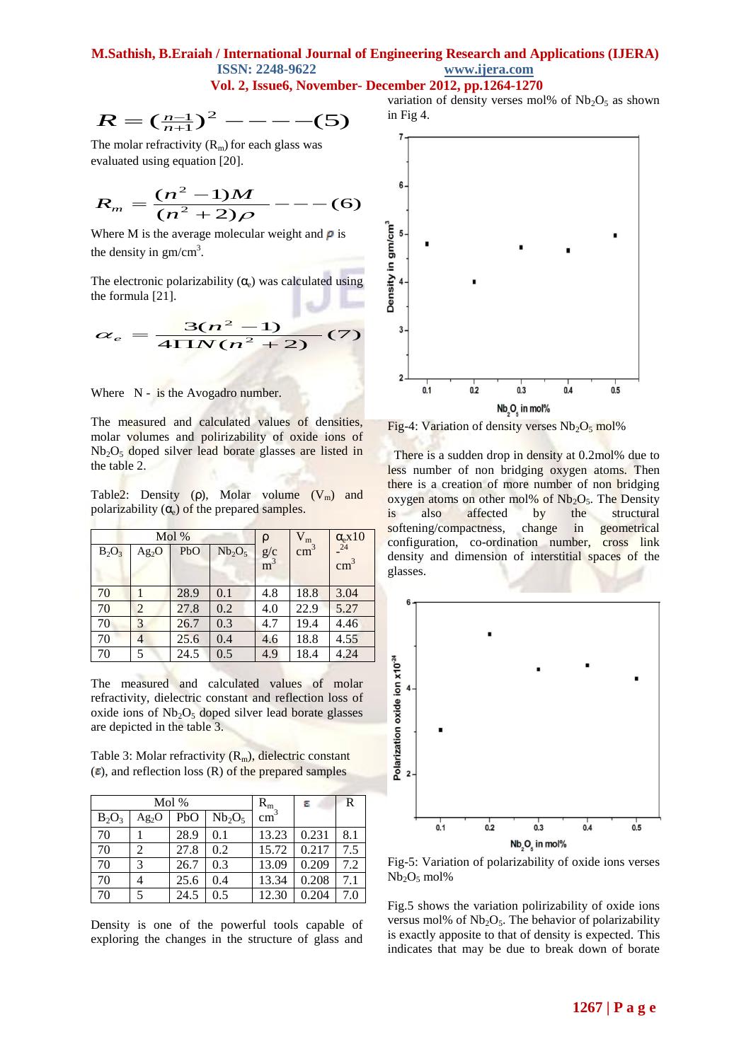**Vol. 2, Issue6, November- December 2012, pp.1264-1270**

$$
R = \left(\frac{n-1}{n+1}\right)^2 - - - - - (5)
$$

The molar refractivity  $(R_m)$  for each glass was evaluated using equation [20].

$$
R_m = \frac{(n^2 - 1)M}{(n^2 + 2)\rho} \quad - \quad - \quad (6)
$$

Where M is the average molecular weight and  $\rho$  is the density in  $gm/cm<sup>3</sup>$ .

The electronic polarizability  $(\alpha_e)$  was calculated using the formula [21].

$$
\alpha_e = \frac{3(n^2 - 1)}{4 \Pi N (n^2 + 2)} (7)
$$

Where N - is the Avogadro number.

The measured and calculated values of densities, molar volumes and polirizability of oxide ions of  $Nb<sub>2</sub>O<sub>5</sub>$  doped silver lead borate glasses are listed in the table 2.

Table2: Density ( $\rho$ ), Molar volume ( $V_m$ ) and polarizability  $(\alpha_e)$  of the prepared samples.

| Mol%     |                |      | ρ                              | $V_m$                   | $\alpha$ <sub>e</sub> x <sub>10</sub> |               |
|----------|----------------|------|--------------------------------|-------------------------|---------------------------------------|---------------|
| $B_2O_3$ | $Ag_2O$        | PbO  | Nb <sub>2</sub> O <sub>5</sub> | $g/c$<br>m <sup>3</sup> | $\text{cm}^3$                         | 24            |
|          |                |      |                                |                         |                                       | $\text{cm}^3$ |
|          |                |      |                                |                         |                                       |               |
| 70       |                | 28.9 | 0.1                            | 4.8                     | 18.8                                  | 3.04          |
| 70       | $\overline{2}$ | 27.8 | 0.2                            | 4.0                     | 22.9                                  | 5.27          |
| 70       | 3              | 26.7 | 0.3                            | 4.7                     | 19.4                                  | 4.46          |
| 70       | 4              | 25.6 | 0.4                            | 4.6                     | 18.8                                  | 4.55          |
| 70       | 5              | 24.5 | 0.5                            | 4.9                     | 18.4                                  | 4.24          |

The measured and calculated values of molar refractivity, dielectric constant and reflection loss of oxide ions of  $Nb<sub>2</sub>O<sub>5</sub>$  doped silver lead borate glasses are depicted in the table 3.

Table 3: Molar refractivity  $(R_m)$ , dielectric constant  $(\epsilon)$ , and reflection loss (R) of the prepared samples

|          |                   | Mol % |           | $R_{m}$       | ε     | R   |
|----------|-------------------|-------|-----------|---------------|-------|-----|
| $B_2O_3$ | Ag <sub>2</sub> O | PbO   | $Nb_2O_5$ | $\text{cm}^3$ |       |     |
| 70       |                   | 28.9  | 0.1       | 13.23         | 0.231 | 8.1 |
| 70       | 2                 | 27.8  | 0.2       | 15.72         | 0.217 | 7.5 |
| 70       | 3                 | 26.7  | 0.3       | 13.09         | 0.209 | 7.2 |
| 70       |                   | 25.6  | 0.4       | 13.34         | 0.208 | 7.1 |
| 70       | 5                 | 24.5  | 0.5       | 12.30         | 0.204 | 7.0 |

Density is one of the powerful tools capable of exploring the changes in the structure of glass and

variation of density verses mol% of  $Nb<sub>2</sub>O<sub>5</sub>$  as shown in Fig 4.



Fig-4: Variation of density verses  $Nb<sub>2</sub>O<sub>5</sub>$  mol%

There is a sudden drop in density at 0.2mol% due to less number of non bridging oxygen atoms. Then there is a creation of more number of non bridging oxygen atoms on other mol% of  $Nb<sub>2</sub>O<sub>5</sub>$ . The Density is also affected by the structural softening/compactness, change in geometrical configuration, co-ordination number, cross link density and dimension of interstitial spaces of the glasses.



Fig-5: Variation of polarizability of oxide ions verses  $Nb_2O_5$  mol%

Fig.5 shows the variation polirizability of oxide ions versus mol% of  $Nb<sub>2</sub>O<sub>5</sub>$ . The behavior of polarizability is exactly apposite to that of density is expected. This indicates that may be due to break down of borate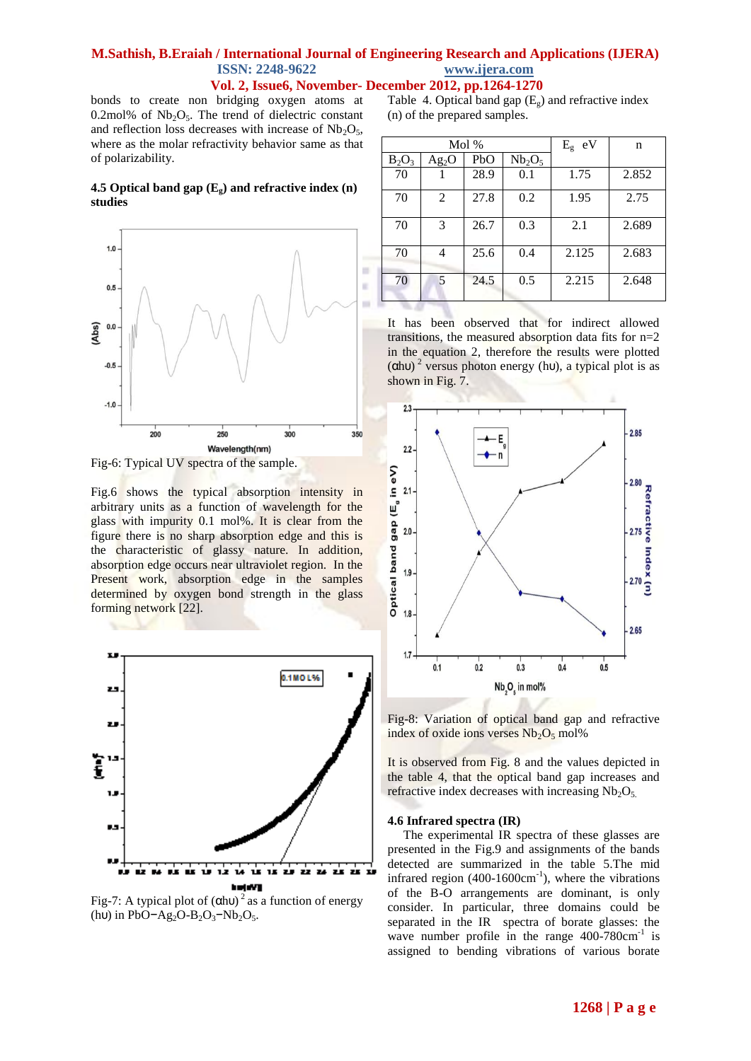## **M.Sathish, B.Eraiah / International Journal of Engineering Research and Applications (IJERA) ISSN: 2248-9622 www.ijera.com Vol. 2, Issue6, November- December 2012, pp.1264-1270**

bonds to create non bridging oxygen atoms at 0.2mol% of  $Nb<sub>2</sub>O<sub>5</sub>$ . The trend of dielectric constant and reflection loss decreases with increase of  $Nb<sub>2</sub>O<sub>5</sub>$ , where as the molar refractivity behavior same as that of polarizability.

## **4.5 Optical band gap (Eg) and refractive index (n) studies**



Fig-6: Typical UV spectra of the sample.

Fig.6 shows the typical absorption intensity in arbitrary units as a function of wavelength for the glass with impurity 0.1 mol%. It is clear from the figure there is no sharp absorption edge and this is the characteristic of glassy nature. In addition, absorption edge occurs near ultraviolet region. In the Present work, absorption edge in the samples determined by oxygen bond strength in the glass forming network [22].



Fig-7: A typical plot of  $(\text{ChU})^2$  as a function of energy (hu) in PbO−Ag<sub>2</sub>O-B<sub>2</sub>O<sub>3</sub>−Nb<sub>2</sub>O<sub>5</sub>.

Table 4. Optical band gap  $(E_g)$  and refractive index (n) of the prepared samples.

| Mol %    |                |      | $E_{\rm g}$ eV                 | n     |       |
|----------|----------------|------|--------------------------------|-------|-------|
| $B_2O_3$ | $Ag_2O$        | PbO  | Nb <sub>2</sub> O <sub>5</sub> |       |       |
| 70       |                | 28.9 | 0.1                            | 1.75  | 2.852 |
| 70       | $\overline{2}$ | 27.8 | 0.2                            | 1.95  | 2.75  |
| 70       | 3              | 26.7 | 0.3                            | 2.1   | 2.689 |
| 70       | 4              | 25.6 | 0.4                            | 2.125 | 2.683 |
| 70       | 5              | 24.5 | 0.5                            | 2.215 | 2.648 |

It has been observed that for indirect allowed transitions, the measured absorption data fits for n=2 in the equation 2, therefore the results were plotted  $(\alpha h \nu)^2$  versus photon energy (hv), a typical plot is as shown in Fig. 7.



Fig-8: Variation of optical band gap and refractive index of oxide ions verses  $Nb<sub>2</sub>O<sub>5</sub>$  mol%

It is observed from Fig. 8 and the values depicted in the table 4, that the optical band gap increases and refractive index decreases with increasing  $Nb<sub>2</sub>O<sub>5</sub>$ .

### **4.6 Infrared spectra (IR)**

The experimental IR spectra of these glasses are presented in the Fig.9 and assignments of the bands detected are summarized in the table 5.The mid infrared region  $(400-1600 \text{cm}^{-1})$ , where the vibrations of the B-O arrangements are dominant, is only consider. In particular, three domains could be separated in the IR spectra of borate glasses: the wave number profile in the range  $400-780 \text{cm}^{-1}$  is assigned to bending vibrations of various borate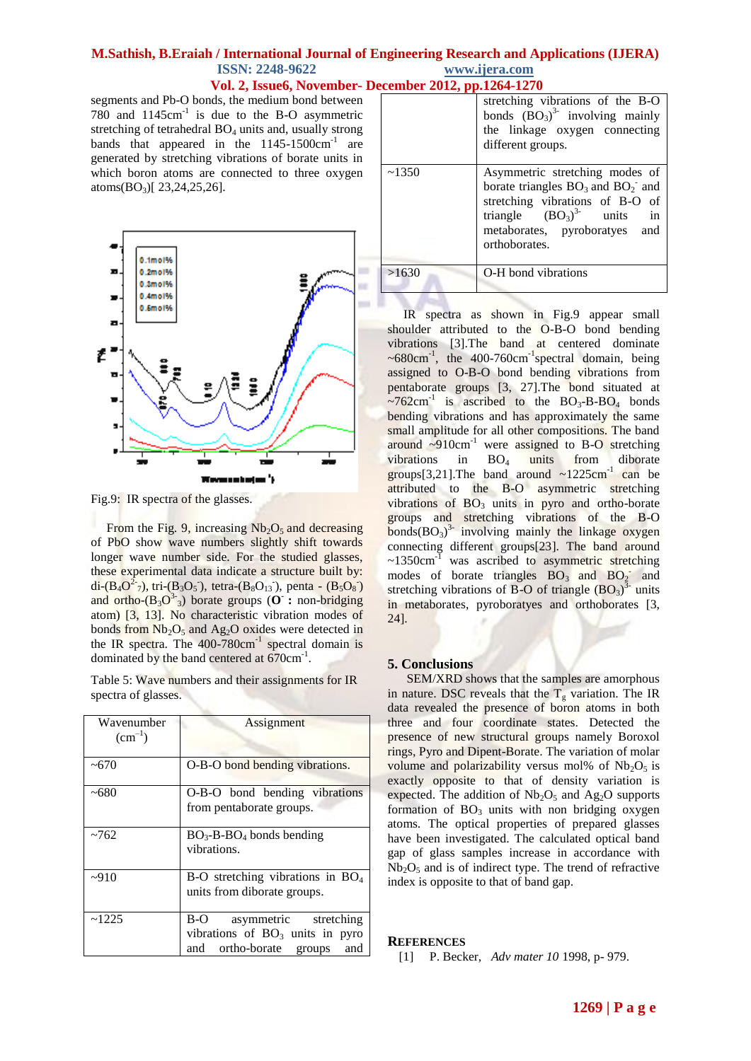**Vol. 2, Issue6, November- December 2012, pp.1264-1270**

segments and Pb-O bonds, the medium bond between 780 and  $1145 \text{cm}^{-1}$  is due to the B-O asymmetric stretching of tetrahedral  $BO_4$  units and, usually strong bands that appeared in the  $1145-1500 \text{cm}^{-1}$  are generated by stretching vibrations of borate units in which boron atoms are connected to three oxygen atoms $(BO_3)$ [ 23, 24, 25, 26].



Fig.9: IR spectra of the glasses.

From the Fig. 9, increasing  $Nb<sub>2</sub>O<sub>5</sub>$  and decreasing of PbO show wave numbers slightly shift towards longer wave number side. For the studied glasses, these experimental data indicate a structure built by: di- $(B_4O^2\overline{7})$ , tri- $(B_3O_5)$ , tetra- $(B_8O_{13})$ , penta -  $(B_5O_8)$ and ortho- $(B_3O^3)$  borate groups (O : non-bridging atom) [3, 13]. No characteristic vibration modes of bonds from  $Nb<sub>2</sub>O<sub>5</sub>$  and Ag<sub>2</sub>O oxides were detected in the IR spectra. The  $400-780$ cm<sup>-1</sup> spectral domain is dominated by the band centered at 670cm<sup>-1</sup>.

Table 5: Wave numbers and their assignments for IR spectra of glasses.

| Wavenumber<br>$\text{(cm}^{-1})$ | Assignment                                                                                           |
|----------------------------------|------------------------------------------------------------------------------------------------------|
| $~10^{-6}$                       | O-B-O bond bending vibrations.                                                                       |
| ~100                             | O-B-O bond bending vibrations<br>from pentaborate groups.                                            |
| ~762                             | $BO_3$ -B-BO <sub>4</sub> bonds bending<br>vibrations.                                               |
| $-910$                           | B-O stretching vibrations in $BO4$<br>units from diborate groups.                                    |
| ~1225                            | B-O<br>asymmetric stretching<br>vibrations of $BO_3$ units in pyro<br>and ortho-borate groups<br>and |

|       | stretching vibrations of the B-O<br>bonds $(BO_3)^3$ involving mainly<br>the linkage oxygen connecting<br>different groups.                                                                                       |
|-------|-------------------------------------------------------------------------------------------------------------------------------------------------------------------------------------------------------------------|
| ~1350 | Asymmetric stretching modes of<br>borate triangles $BO_3$ and $BO_2$ <sup>-</sup> and<br>stretching vibrations of B-O of<br>triangle $(BO_3)^3$ units<br>$\sin$<br>metaborates, pyroboratyes and<br>orthoborates. |
| >1630 | O-H bond vibrations                                                                                                                                                                                               |

 IR spectra as shown in Fig.9 appear small shoulder attributed to the O-B-O bond bending vibrations [3].The band at centered dominate  $\sim 680 \text{cm}^{-1}$ , the 400-760 $\text{cm}^{-1}$ spectral domain, being assigned to O-B-O bond bending vibrations from pentaborate groups [3, 27].The bond situated at  $\sim$ 762cm<sup>-1</sup> is ascribed to the BO<sub>3</sub>-B-BO<sub>4</sub> bonds bending vibrations and has approximately the same small amplitude for all other compositions. The band around  $\sim 910 \text{cm}^{-1}$  were assigned to B-O stretching vibrations in  $BO_4$  units from diborate groups[3,21]. The band around  $\sim 1225 \text{cm}^{-1}$  can be attributed to the B-O asymmetric stretching vibrations of  $BO<sub>3</sub>$  units in pyro and ortho-borate groups and stretching vibrations of the B-O  $\text{bonds}(\text{BO}_3)^3$  involving mainly the linkage oxygen connecting different groups[23]. The band around  $\sim$ 1350cm<sup>-1</sup> was ascribed to asymmetric stretching modes of borate triangles  $BO_3$  and  $BO_2^-$  and stretching vibrations of B-O of triangle  $(BO_3)^3$  units in metaborates, pyroboratyes and orthoborates [3, 24].

# **5. Conclusions**

 SEM/XRD shows that the samples are amorphous in nature. DSC reveals that the  $T_g$  variation. The IR data revealed the presence of boron atoms in both three and four coordinate states. Detected the presence of new structural groups namely Boroxol rings, Pyro and Dipent-Borate. The variation of molar volume and polarizability versus mol% of  $Nb<sub>2</sub>O<sub>5</sub>$  is exactly opposite to that of density variation is expected. The addition of  $Nb<sub>2</sub>O<sub>5</sub>$  and Ag<sub>2</sub>O supports formation of  $BO_3$  units with non bridging oxygen atoms. The optical properties of prepared glasses have been investigated. The calculated optical band gap of glass samples increase in accordance with  $Nb<sub>2</sub>O<sub>5</sub>$  and is of indirect type. The trend of refractive index is opposite to that of band gap.

## **REFERENCES**

[1] P. Becker, *Adv mater 10* 1998, p- 979.